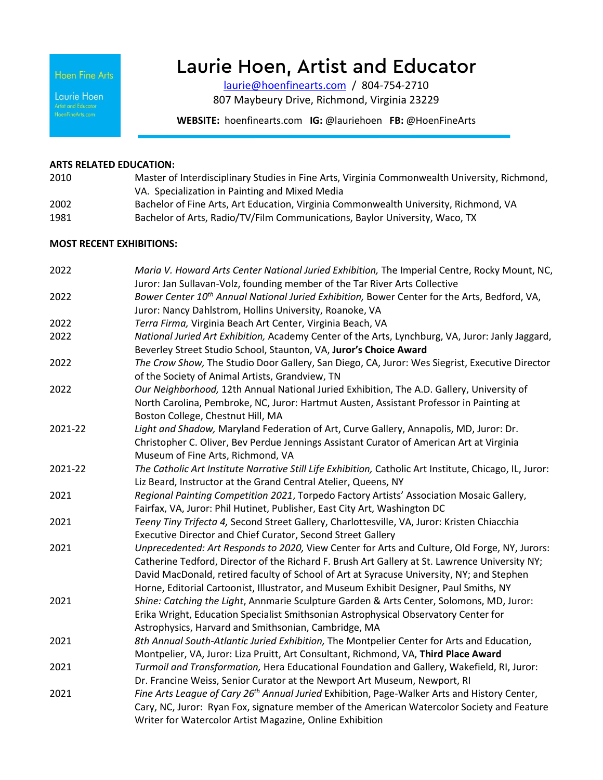Hoen Fine Arts

Laurie Hoen

# Laurie Hoen, Artist and Educator

[laurie@hoenfinearts.com](mailto:laurie@hoenfinearts.com) / 804-754-2710 807 Maybeury Drive, Richmond, Virginia 23229

**WEBSITE:** hoenfinearts.com **IG:** @lauriehoen **FB:** @HoenFineArts

#### **ARTS RELATED EDUCATION:**

- 2010 Master of Interdisciplinary Studies in Fine Arts, Virginia Commonwealth University, Richmond, VA. Specialization in Painting and Mixed Media 2002 Bachelor of Fine Arts, Art Education, Virginia Commonwealth University, Richmond, VA
- 1981 Bachelor of Arts, Radio/TV/Film Communications, Baylor University, Waco, TX

#### **MOST RECENT EXHIBITIONS:**

| 2022    | Maria V. Howard Arts Center National Juried Exhibition, The Imperial Centre, Rocky Mount, NC,<br>Juror: Jan Sullavan-Volz, founding member of the Tar River Arts Collective |
|---------|-----------------------------------------------------------------------------------------------------------------------------------------------------------------------------|
| 2022    | Bower Center 10 <sup>th</sup> Annual National Juried Exhibition, Bower Center for the Arts, Bedford, VA,                                                                    |
|         | Juror: Nancy Dahlstrom, Hollins University, Roanoke, VA                                                                                                                     |
| 2022    | Terra Firma, Virginia Beach Art Center, Virginia Beach, VA                                                                                                                  |
| 2022    | National Juried Art Exhibition, Academy Center of the Arts, Lynchburg, VA, Juror: Janly Jaggard,                                                                            |
|         | Beverley Street Studio School, Staunton, VA, Juror's Choice Award                                                                                                           |
| 2022    | The Crow Show, The Studio Door Gallery, San Diego, CA, Juror: Wes Siegrist, Executive Director                                                                              |
|         | of the Society of Animal Artists, Grandview, TN                                                                                                                             |
| 2022    | Our Neighborhood, 12th Annual National Juried Exhibition, The A.D. Gallery, University of                                                                                   |
|         | North Carolina, Pembroke, NC, Juror: Hartmut Austen, Assistant Professor in Painting at                                                                                     |
|         | Boston College, Chestnut Hill, MA                                                                                                                                           |
| 2021-22 | Light and Shadow, Maryland Federation of Art, Curve Gallery, Annapolis, MD, Juror: Dr.                                                                                      |
|         | Christopher C. Oliver, Bev Perdue Jennings Assistant Curator of American Art at Virginia                                                                                    |
|         | Museum of Fine Arts, Richmond, VA                                                                                                                                           |
| 2021-22 | The Catholic Art Institute Narrative Still Life Exhibition, Catholic Art Institute, Chicago, IL, Juror:                                                                     |
|         | Liz Beard, Instructor at the Grand Central Atelier, Queens, NY                                                                                                              |
| 2021    | Regional Painting Competition 2021, Torpedo Factory Artists' Association Mosaic Gallery,                                                                                    |
|         | Fairfax, VA, Juror: Phil Hutinet, Publisher, East City Art, Washington DC                                                                                                   |
| 2021    | Teeny Tiny Trifecta 4, Second Street Gallery, Charlottesville, VA, Juror: Kristen Chiacchia                                                                                 |
|         | Executive Director and Chief Curator, Second Street Gallery                                                                                                                 |
| 2021    | Unprecedented: Art Responds to 2020, View Center for Arts and Culture, Old Forge, NY, Jurors:                                                                               |
|         | Catherine Tedford, Director of the Richard F. Brush Art Gallery at St. Lawrence University NY;                                                                              |
|         | David MacDonald, retired faculty of School of Art at Syracuse University, NY; and Stephen                                                                                   |
|         | Horne, Editorial Cartoonist, Illustrator, and Museum Exhibit Designer, Paul Smiths, NY                                                                                      |
| 2021    | Shine: Catching the Light, Annmarie Sculpture Garden & Arts Center, Solomons, MD, Juror:                                                                                    |
|         | Erika Wright, Education Specialist Smithsonian Astrophysical Observatory Center for                                                                                         |
|         | Astrophysics, Harvard and Smithsonian, Cambridge, MA                                                                                                                        |
| 2021    | 8th Annual South-Atlantic Juried Exhibition, The Montpelier Center for Arts and Education,                                                                                  |
|         | Montpelier, VA, Juror: Liza Pruitt, Art Consultant, Richmond, VA, Third Place Award                                                                                         |
| 2021    | Turmoil and Transformation, Hera Educational Foundation and Gallery, Wakefield, RI, Juror:                                                                                  |
|         | Dr. Francine Weiss, Senior Curator at the Newport Art Museum, Newport, RI                                                                                                   |
| 2021    | Fine Arts League of Cary 26 <sup>th</sup> Annual Juried Exhibition, Page-Walker Arts and History Center,                                                                    |
|         | Cary, NC, Juror: Ryan Fox, signature member of the American Watercolor Society and Feature                                                                                  |
|         | Writer for Watercolor Artist Magazine, Online Exhibition                                                                                                                    |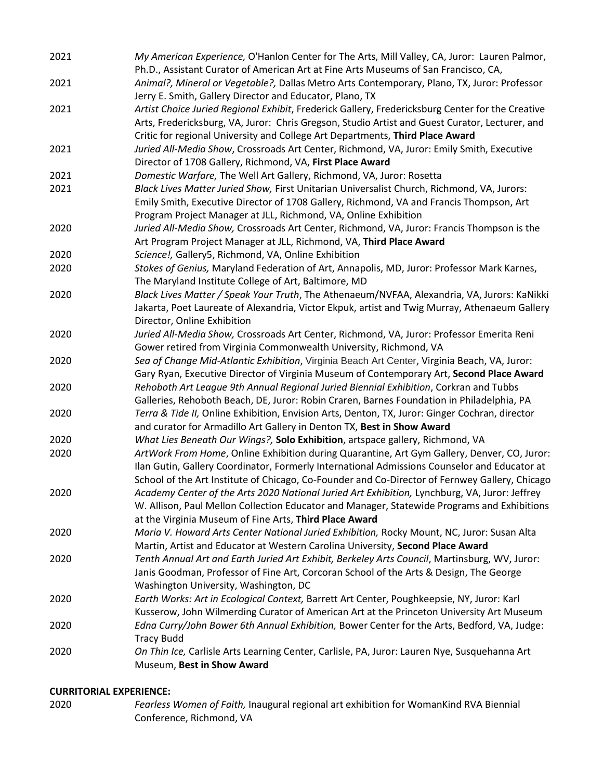| 2021 | Animal?, Mineral or Vegetable?, Dallas Metro Arts Contemporary, Plano, TX, Juror: Professor<br>Jerry E. Smith, Gallery Director and Educator, Plano, TX                                 |
|------|-----------------------------------------------------------------------------------------------------------------------------------------------------------------------------------------|
| 2021 | Artist Choice Juried Regional Exhibit, Frederick Gallery, Fredericksburg Center for the Creative                                                                                        |
|      | Arts, Fredericksburg, VA, Juror: Chris Gregson, Studio Artist and Guest Curator, Lecturer, and                                                                                          |
|      | Critic for regional University and College Art Departments, Third Place Award                                                                                                           |
| 2021 | Juried All-Media Show, Crossroads Art Center, Richmond, VA, Juror: Emily Smith, Executive                                                                                               |
|      | Director of 1708 Gallery, Richmond, VA, First Place Award                                                                                                                               |
| 2021 | Domestic Warfare, The Well Art Gallery, Richmond, VA, Juror: Rosetta                                                                                                                    |
| 2021 | Black Lives Matter Juried Show, First Unitarian Universalist Church, Richmond, VA, Jurors:                                                                                              |
|      | Emily Smith, Executive Director of 1708 Gallery, Richmond, VA and Francis Thompson, Art                                                                                                 |
|      | Program Project Manager at JLL, Richmond, VA, Online Exhibition                                                                                                                         |
| 2020 | Juried All-Media Show, Crossroads Art Center, Richmond, VA, Juror: Francis Thompson is the                                                                                              |
|      | Art Program Project Manager at JLL, Richmond, VA, Third Place Award                                                                                                                     |
| 2020 | Science!, Gallery5, Richmond, VA, Online Exhibition                                                                                                                                     |
| 2020 | Stokes of Genius, Maryland Federation of Art, Annapolis, MD, Juror: Professor Mark Karnes,                                                                                              |
| 2020 | The Maryland Institute College of Art, Baltimore, MD<br>Black Lives Matter / Speak Your Truth, The Athenaeum/NVFAA, Alexandria, VA, Jurors: KaNikki                                     |
|      | Jakarta, Poet Laureate of Alexandria, Victor Ekpuk, artist and Twig Murray, Athenaeum Gallery                                                                                           |
|      | Director, Online Exhibition                                                                                                                                                             |
| 2020 | Juried All-Media Show, Crossroads Art Center, Richmond, VA, Juror: Professor Emerita Reni                                                                                               |
|      | Gower retired from Virginia Commonwealth University, Richmond, VA                                                                                                                       |
| 2020 | Sea of Change Mid-Atlantic Exhibition, Virginia Beach Art Center, Virginia Beach, VA, Juror:                                                                                            |
|      | Gary Ryan, Executive Director of Virginia Museum of Contemporary Art, Second Place Award                                                                                                |
| 2020 | Rehoboth Art League 9th Annual Regional Juried Biennial Exhibition, Corkran and Tubbs                                                                                                   |
|      | Galleries, Rehoboth Beach, DE, Juror: Robin Craren, Barnes Foundation in Philadelphia, PA                                                                                               |
| 2020 | Terra & Tide II, Online Exhibition, Envision Arts, Denton, TX, Juror: Ginger Cochran, director                                                                                          |
|      | and curator for Armadillo Art Gallery in Denton TX, Best in Show Award                                                                                                                  |
| 2020 | What Lies Beneath Our Wings?, Solo Exhibition, artspace gallery, Richmond, VA                                                                                                           |
| 2020 | ArtWork From Home, Online Exhibition during Quarantine, Art Gym Gallery, Denver, CO, Juror:                                                                                             |
|      | Ilan Gutin, Gallery Coordinator, Formerly International Admissions Counselor and Educator at                                                                                            |
|      | School of the Art Institute of Chicago, Co-Founder and Co-Director of Fernwey Gallery, Chicago                                                                                          |
| 2020 | Academy Center of the Arts 2020 National Juried Art Exhibition, Lynchburg, VA, Juror: Jeffrey                                                                                           |
|      | W. Allison, Paul Mellon Collection Educator and Manager, Statewide Programs and Exhibitions                                                                                             |
|      | at the Virginia Museum of Fine Arts, Third Place Award                                                                                                                                  |
| 2020 | Maria V. Howard Arts Center National Juried Exhibition, Rocky Mount, NC, Juror: Susan Alta                                                                                              |
|      | Martin, Artist and Educator at Western Carolina University, Second Place Award                                                                                                          |
| 2020 | Tenth Annual Art and Earth Juried Art Exhibit, Berkeley Arts Council, Martinsburg, WV, Juror:<br>Janis Goodman, Professor of Fine Art, Corcoran School of the Arts & Design, The George |
|      | Washington University, Washington, DC                                                                                                                                                   |
|      |                                                                                                                                                                                         |
|      |                                                                                                                                                                                         |
| 2020 | Earth Works: Art in Ecological Context, Barrett Art Center, Poughkeepsie, NY, Juror: Karl                                                                                               |
|      | Kusserow, John Wilmerding Curator of American Art at the Princeton University Art Museum                                                                                                |
| 2020 | Edna Curry/John Bower 6th Annual Exhibition, Bower Center for the Arts, Bedford, VA, Judge:                                                                                             |
|      | <b>Tracy Budd</b>                                                                                                                                                                       |
| 2020 | On Thin Ice, Carlisle Arts Learning Center, Carlisle, PA, Juror: Lauren Nye, Susquehanna Art<br>Museum, Best in Show Award                                                              |

## **CURRITORIAL EXPERIENCE:**

- 
- 2020 *Fearless Women of Faith,* Inaugural regional art exhibition for WomanKind RVA Biennial Conference, Richmond, VA